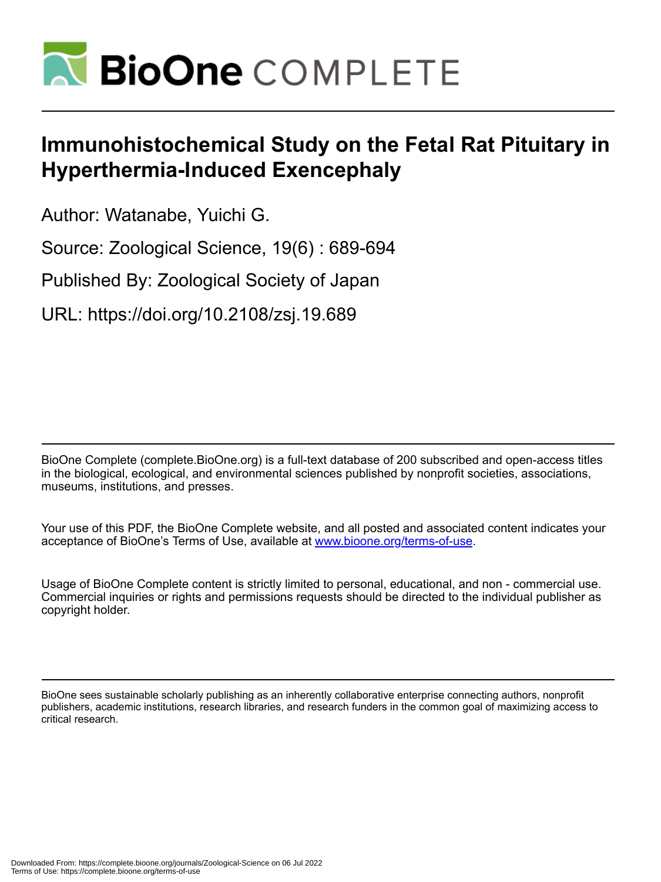

# **Immunohistochemical Study on the Fetal Rat Pituitary in Hyperthermia-Induced Exencephaly**

Author: Watanabe, Yuichi G.

Source: Zoological Science, 19(6) : 689-694

Published By: Zoological Society of Japan

URL: https://doi.org/10.2108/zsj.19.689

BioOne Complete (complete.BioOne.org) is a full-text database of 200 subscribed and open-access titles in the biological, ecological, and environmental sciences published by nonprofit societies, associations, museums, institutions, and presses.

Your use of this PDF, the BioOne Complete website, and all posted and associated content indicates your acceptance of BioOne's Terms of Use, available at www.bioone.org/terms-of-use.

Usage of BioOne Complete content is strictly limited to personal, educational, and non - commercial use. Commercial inquiries or rights and permissions requests should be directed to the individual publisher as copyright holder.

BioOne sees sustainable scholarly publishing as an inherently collaborative enterprise connecting authors, nonprofit publishers, academic institutions, research libraries, and research funders in the common goal of maximizing access to critical research.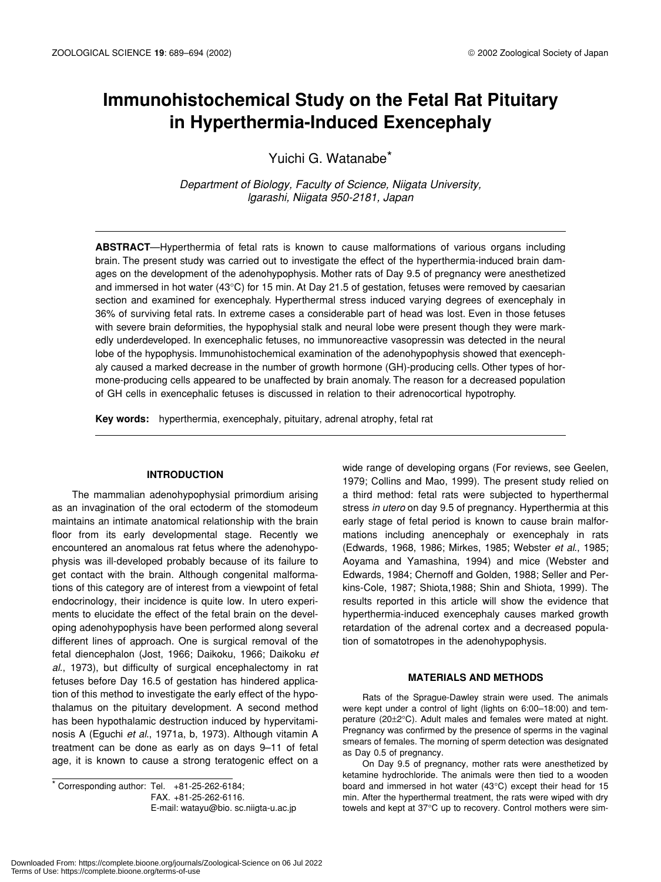# **Immunohistochemical Study on the Fetal Rat Pituitary in Hyperthermia-Induced Exencephaly**

Yuichi G. Watanabe\*

*Department of Biology, Faculty of Science, Niigata University, lgarashi, Niigata 950-2181, Japan*

**ABSTRACT**—Hyperthermia of fetal rats is known to cause malformations of various organs including brain. The present study was carried out to investigate the effect of the hyperthermia-induced brain damages on the development of the adenohypophysis. Mother rats of Day 9.5 of pregnancy were anesthetized and immersed in hot water (43°C) for 15 min. At Day 21.5 of gestation, fetuses were removed by caesarian section and examined for exencephaly. Hyperthermal stress induced varying degrees of exencephaly in 36% of surviving fetal rats. In extreme cases a considerable part of head was lost. Even in those fetuses with severe brain deformities, the hypophysial stalk and neural lobe were present though they were markedly underdeveloped. In exencephalic fetuses, no immunoreactive vasopressin was detected in the neural lobe of the hypophysis. Immunohistochemical examination of the adenohypophysis showed that exencephaly caused a marked decrease in the number of growth hormone (GH)-producing cells. Other types of hormone-producing cells appeared to be unaffected by brain anomaly. The reason for a decreased population of GH cells in exencephalic fetuses is discussed in relation to their adrenocortical hypotrophy.

**Key words:** hyperthermia, exencephaly, pituitary, adrenal atrophy, fetal rat

#### **INTRODUCTION**

The mammalian adenohypophysial primordium arising as an invagination of the oral ectoderm of the stomodeum maintains an intimate anatomical relationship with the brain floor from its early developmental stage. Recently we encountered an anomalous rat fetus where the adenohypophysis was ill-developed probably because of its failure to get contact with the brain. Although congenital malformations of this category are of interest from a viewpoint of fetal endocrinology, their incidence is quite low. In utero experiments to elucidate the effect of the fetal brain on the developing adenohypophysis have been performed along several different lines of approach. One is surgical removal of the fetal diencephalon (Jost, 1966; Daikoku, 1966; Daikoku *et al*., 1973), but difficulty of surgical encephalectomy in rat fetuses before Day 16.5 of gestation has hindered application of this method to investigate the early effect of the hypothalamus on the pituitary development. A second method has been hypothalamic destruction induced by hypervitaminosis A (Eguchi *et al*., 1971a, b, 1973). Although vitamin A treatment can be done as early as on days 9–11 of fetal age, it is known to cause a strong teratogenic effect on a

 $*$  Corresponding author: Tel.  $+81-25-262-6184$ ; FAX. +81-25-262-6116. E-mail: watayu@bio. sc.niigta-u.ac.jp wide range of developing organs (For reviews, see Geelen, 1979; Collins and Mao, 1999). The present study relied on a third method: fetal rats were subjected to hyperthermal stress *in utero* on day 9.5 of pregnancy. Hyperthermia at this early stage of fetal period is known to cause brain malformations including anencephaly or exencephaly in rats (Edwards, 1968, 1986; Mirkes, 1985; Webster *et al*., 1985; Aoyama and Yamashina, 1994) and mice (Webster and Edwards, 1984; Chernoff and Golden, 1988; Seller and Perkins-Cole, 1987; Shiota,1988; Shin and Shiota, 1999). The results reported in this article will show the evidence that hyperthermia-induced exencephaly causes marked growth retardation of the adrenal cortex and a decreased population of somatotropes in the adenohypophysis.

#### **MATERIALS AND METHODS**

Rats of the Sprague-Dawley strain were used. The animals were kept under a control of light (lights on 6:00–18:00) and temperature (20±2°C). Adult males and females were mated at night. Pregnancy was confirmed by the presence of sperms in the vaginal smears of females. The morning of sperm detection was designated as Day 0.5 of pregnancy.

On Day 9.5 of pregnancy, mother rats were anesthetized by ketamine hydrochloride. The animals were then tied to a wooden board and immersed in hot water (43°C) except their head for 15 min. After the hyperthermal treatment, the rats were wiped with dry towels and kept at 37°C up to recovery. Control mothers were sim-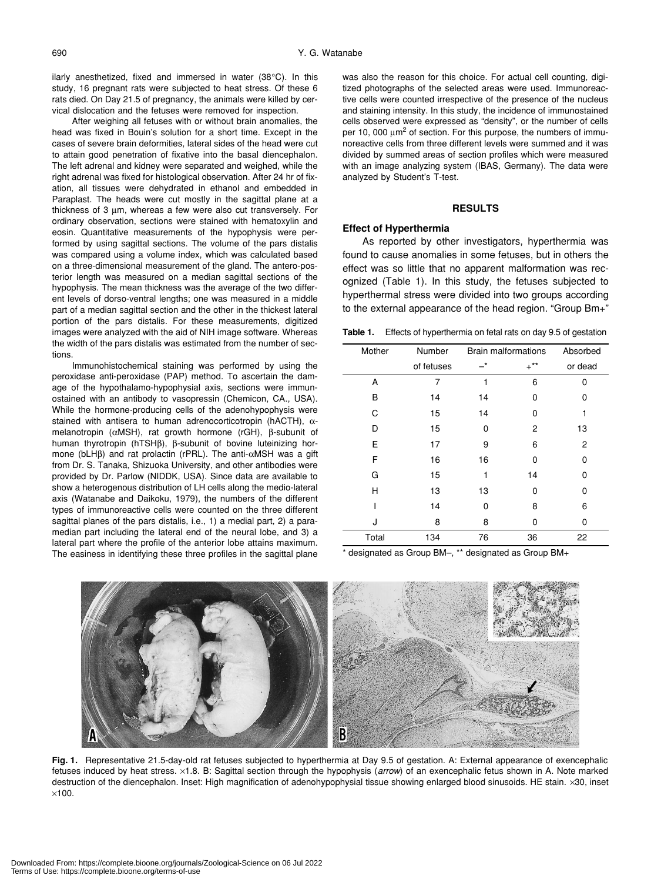ilarly anesthetized, fixed and immersed in water (38°C). In this study, 16 pregnant rats were subjected to heat stress. Of these 6 rats died. On Day 21.5 of pregnancy, the animals were killed by cervical dislocation and the fetuses were removed for inspection.

After weighing all fetuses with or without brain anomalies, the head was fixed in Bouin's solution for a short time. Except in the cases of severe brain deformities, lateral sides of the head were cut to attain good penetration of fixative into the basal diencephalon. The left adrenal and kidney were separated and weighed, while the right adrenal was fixed for histological observation. After 24 hr of fixation, all tissues were dehydrated in ethanol and embedded in Paraplast. The heads were cut mostly in the sagittal plane at a thickness of 3 µm, whereas a few were also cut transversely. For ordinary observation, sections were stained with hematoxylin and eosin. Quantitative measurements of the hypophysis were performed by using sagittal sections. The volume of the pars distalis was compared using a volume index, which was calculated based on a three-dimensional measurement of the gland. The antero-posterior length was measured on a median sagittal sections of the hypophysis. The mean thickness was the average of the two different levels of dorso-ventral lengths; one was measured in a middle part of a median sagittal section and the other in the thickest lateral portion of the pars distalis. For these measurements, digitized images were analyzed with the aid of NIH image software. Whereas the width of the pars distalis was estimated from the number of sections.

Immunohistochemical staining was performed by using the peroxidase anti-peroxidase (PAP) method. To ascertain the damage of the hypothalamo-hypophysial axis, sections were immunostained with an antibody to vasopressin (Chemicon, CA., USA). While the hormone-producing cells of the adenohypophysis were stained with antisera to human adrenocorticotropin (hACTH),  $\alpha$ melanotropin (αMSH), rat growth hormone (rGH), β-subunit of human thyrotropin (hTSHβ), β-subunit of bovine luteinizing hormone (bLHβ) and rat prolactin (rPRL). The anti-αMSH was a gift from Dr. S. Tanaka, Shizuoka University, and other antibodies were provided by Dr. Parlow (NIDDK, USA). Since data are available to show a heterogenous distribution of LH cells along the medio-lateral axis (Watanabe and Daikoku, 1979), the numbers of the different types of immunoreactive cells were counted on the three different sagittal planes of the pars distalis, i.e., 1) a medial part, 2) a paramedian part including the lateral end of the neural lobe, and 3) a lateral part where the profile of the anterior lobe attains maximum. The easiness in identifying these three profiles in the sagittal plane was also the reason for this choice. For actual cell counting, digitized photographs of the selected areas were used. Immunoreactive cells were counted irrespective of the presence of the nucleus and staining intensity. In this study, the incidence of immunostained cells observed were expressed as "density", or the number of cells per 10, 000 μm<sup>2</sup> of section. For this purpose, the numbers of immunoreactive cells from three different levels were summed and it was divided by summed areas of section profiles which were measured with an image analyzing system (IBAS, Germany). The data were analyzed by Student's T-test.

#### **RESULTS**

#### **Effect of Hyperthermia**

As reported by other investigators, hyperthermia was found to cause anomalies in some fetuses, but in others the effect was so little that no apparent malformation was recognized (Table 1). In this study, the fetuses subjected to hyperthermal stress were divided into two groups according to the external appearance of the head region. "Group Bm+"

**Table 1.** Effects of hyperthermia on fetal rats on day 9.5 of gestation

| Mother | Number     | <b>Brain malformations</b> | Absorbed         |         |
|--------|------------|----------------------------|------------------|---------|
|        | of fetuses | $\star$                    | $+^{\star\star}$ | or dead |
| A      | 7          | 1                          | 6                | 0       |
| B      | 14         | 14                         | 0                | 0       |
| С      | 15         | 14                         | 0                |         |
| D      | 15         | ი                          | 2                | 13      |
| E      | 17         | 9                          | 6                | 2       |
| F      | 16         | 16                         | 0                | 0       |
| G      | 15         |                            | 14               | 0       |
| н      | 13         | 13                         | ი                | O       |
|        | 14         | ი                          | 8                | 6       |
| J      | 8          | 8                          | 0                | 0       |
| Total  | 134        | 76                         | 36               | 22      |

\* designated as Group BM–, \*\* designated as Group BM+



**Fig. 1.** Representative 21.5-day-old rat fetuses subjected to hyperthermia at Day 9.5 of gestation. A: External appearance of exencephalic fetuses induced by heat stress. ×1.8. B: Sagittal section through the hypophysis (*arrow*) of an exencephalic fetus shown in A. Note marked destruction of the diencephalon. Inset: High magnification of adenohypophysial tissue showing enlarged blood sinusoids. HE stain. ×30, inset  $\times$ 100.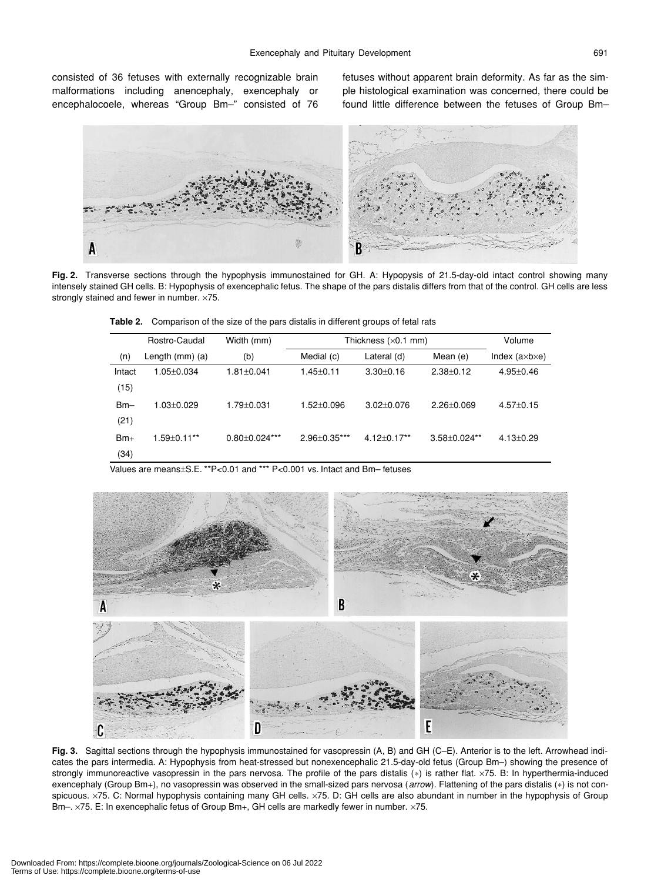consisted of 36 fetuses with externally recognizable brain malformations including anencephaly, exencephaly or encephalocoele, whereas "Group Bm–" consisted of 76 fetuses without apparent brain deformity. As far as the simple histological examination was concerned, there could be found little difference between the fetuses of Group Bm–



**Fig. 2.** Transverse sections through the hypophysis immunostained for GH. A: Hypopysis of 21.5-day-old intact control showing many intensely stained GH cells. B: Hypophysis of exencephalic fetus. The shape of the pars distalis differs from that of the control. GH cells are less strongly stained and fewer in number. ×75.

**Table 2.** Comparison of the size of the pars distalis in different groups of fetal rats

|        | Rostro-Caudal      | Width (mm)          | Thickness $(x0.1$ mm) |                   |                    | Volume                 |
|--------|--------------------|---------------------|-----------------------|-------------------|--------------------|------------------------|
| (n)    | Length (mm) (a)    | (b)                 | Medial (c)            | Lateral (d)       | Mean (e)           | Index $(axb \times e)$ |
| Intact | $1.05 + 0.034$     | $1.81 \pm 0.041$    | $1.45 \pm 0.11$       | $3.30 \pm 0.16$   | $2.38 + 0.12$      | $4.95 \pm 0.46$        |
| (15)   |                    |                     |                       |                   |                    |                        |
| $Bm-$  | $1.03 \pm 0.029$   | $1.79 \pm 0.031$    | $1.52 + 0.096$        | $3.02 + 0.076$    | $2.26 \pm 0.069$   | $4.57+0.15$            |
| (21)   |                    |                     |                       |                   |                    |                        |
| $Bm+$  | $1.59 \pm 0.11$ ** | $0.80 \pm 0.024***$ | $2.96 \pm 0.35$ ***   | $4.12 \pm 0.17**$ | $3.58 \pm 0.024**$ | $4.13 \pm 0.29$        |
| (34)   |                    |                     |                       |                   |                    |                        |

Values are means±S.E. \*\*P<0.01 and \*\*\* P<0.001 vs. Intact and Bm– fetuses



**Fig. 3.** Sagittal sections through the hypophysis immunostained for vasopressin (A, B) and GH (C–E). Anterior is to the left. Arrowhead indicates the pars intermedia. A: Hypophysis from heat-stressed but nonexencephalic 21.5-day-old fetus (Group Bm–) showing the presence of strongly immunoreactive vasopressin in the pars nervosa. The profile of the pars distalis (\*) is rather flat. ×75. B: In hyperthermia-induced exencephaly (Group Bm+), no vasopressin was observed in the small-sized pars nervosa (*arrow*). Flattening of the pars distalis (\*) is not conspicuous. ×75. C: Normal hypophysis containing many GH cells. ×75. D: GH cells are also abundant in number in the hypophysis of Group Bm–. ×75. E: In exencephalic fetus of Group Bm+, GH cells are markedly fewer in number. ×75.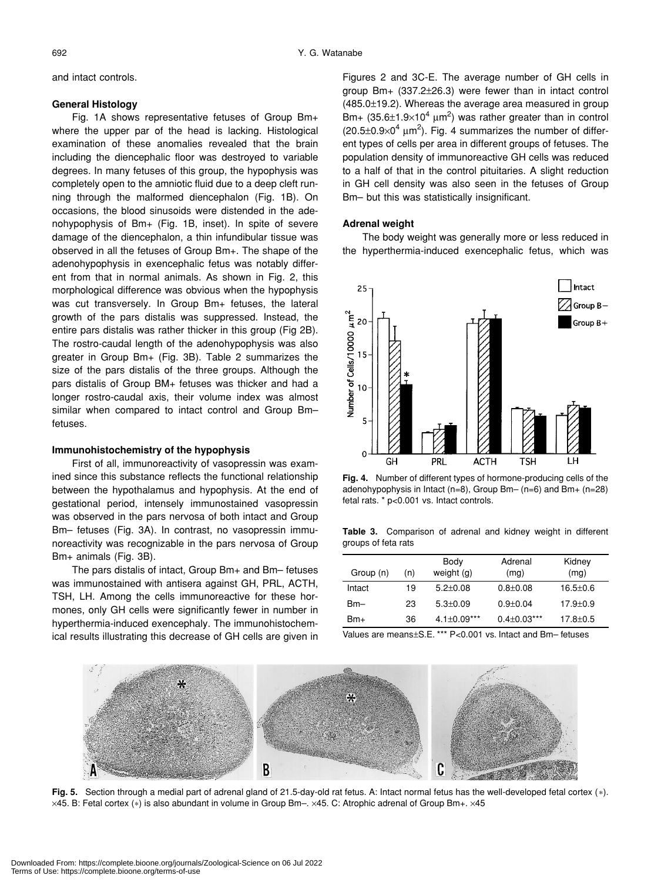and intact controls.

### **General Histology**

Fig. 1A shows representative fetuses of Group Bm+ where the upper par of the head is lacking. Histological examination of these anomalies revealed that the brain including the diencephalic floor was destroyed to variable degrees. In many fetuses of this group, the hypophysis was completely open to the amniotic fluid due to a deep cleft running through the malformed diencephalon (Fig. 1B). On occasions, the blood sinusoids were distended in the adenohypophysis of Bm+ (Fig. 1B, inset). In spite of severe damage of the diencephalon, a thin infundibular tissue was observed in all the fetuses of Group Bm+. The shape of the adenohypophysis in exencephalic fetus was notably different from that in normal animals. As shown in Fig. 2, this morphological difference was obvious when the hypophysis was cut transversely. In Group Bm+ fetuses, the lateral growth of the pars distalis was suppressed. Instead, the entire pars distalis was rather thicker in this group (Fig 2B). The rostro-caudal length of the adenohypophysis was also greater in Group Bm+ (Fig. 3B). Table 2 summarizes the size of the pars distalis of the three groups. Although the pars distalis of Group BM+ fetuses was thicker and had a longer rostro-caudal axis, their volume index was almost similar when compared to intact control and Group Bm– fetuses.

## **Immunohistochemistry of the hypophysis**

First of all, immunoreactivity of vasopressin was examined since this substance reflects the functional relationship between the hypothalamus and hypophysis. At the end of gestational period, intensely immunostained vasopressin was observed in the pars nervosa of both intact and Group Bm– fetuses (Fig. 3A). In contrast, no vasopressin immunoreactivity was recognizable in the pars nervosa of Group Bm+ animals (Fig. 3B).

The pars distalis of intact, Group Bm+ and Bm– fetuses was immunostained with antisera against GH, PRL, ACTH, TSH, LH. Among the cells immunoreactive for these hormones, only GH cells were significantly fewer in number in hyperthermia-induced exencephaly. The immunohistochemical results illustrating this decrease of GH cells are given in

Figures 2 and 3C-E. The average number of GH cells in group Bm+ (337.2±26.3) were fewer than in intact control (485.0±19.2). Whereas the average area measured in group Bm+ (35.6±1.9×10<sup>4</sup>  $\mu$ m<sup>2</sup>) was rather greater than in control  $(20.5\pm0.9\times0^{4} \mu m^{2})$ . Fig. 4 summarizes the number of different types of cells per area in different groups of fetuses. The population density of immunoreactive GH cells was reduced to a half of that in the control pituitaries. A slight reduction in GH cell density was also seen in the fetuses of Group Bm– but this was statistically insignificant.

#### **Adrenal weight**

The body weight was generally more or less reduced in the hyperthermia-induced exencephalic fetus, which was



**Fig. 4.** Number of different types of hormone-producing cells of the adenohypophysis in Intact (n=8), Group Bm– (n=6) and Bm+ (n=28) fetal rats. \* p<0.001 vs. Intact controls.

**Table 3.** Comparison of adrenal and kidney weight in different groups of feta rats

| Group (n) | (n) | Body<br>weight $(q)$ | Adrenal<br>(mg)   | Kidney<br>(mq) |
|-----------|-----|----------------------|-------------------|----------------|
| Intact    | 19  | $5.2 \pm 0.08$       | $0.8 + 0.08$      | $16.5 \pm 0.6$ |
| $Bm-$     | 23  | $5.3 \pm 0.09$       | $0.9 + 0.04$      | $17.9 + 0.9$   |
| Bm+       | 36  | $4.1 \pm 0.09***$    | $0.4 \pm 0.03***$ | $17.8 \pm 0.5$ |

Values are means±S.E. \*\*\* P<0.001 vs. Intact and Bm– fetuses



**Fig. 5.** Section through a medial part of adrenal gland of 21.5-day-old rat fetus. A: Intact normal fetus has the well-developed fetal cortex (\*). ×45. B: Fetal cortex (\*) is also abundant in volume in Group Bm–. ×45. C: Atrophic adrenal of Group Bm+. ×45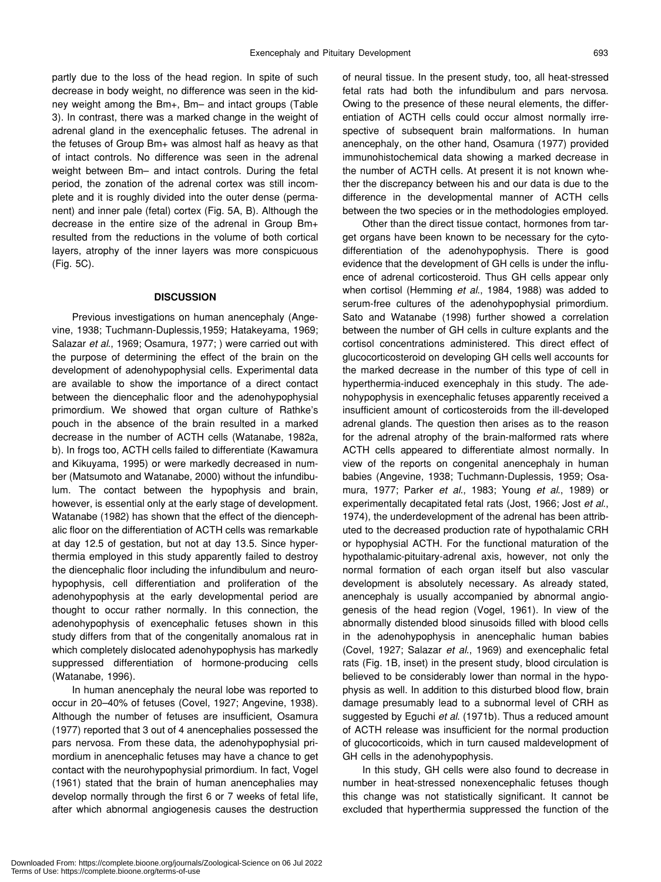partly due to the loss of the head region. In spite of such decrease in body weight, no difference was seen in the kidney weight among the Bm+, Bm– and intact groups (Table 3). In contrast, there was a marked change in the weight of adrenal gland in the exencephalic fetuses. The adrenal in the fetuses of Group Bm+ was almost half as heavy as that of intact controls. No difference was seen in the adrenal weight between Bm– and intact controls. During the fetal period, the zonation of the adrenal cortex was still incomplete and it is roughly divided into the outer dense (permanent) and inner pale (fetal) cortex (Fig. 5A, B). Although the decrease in the entire size of the adrenal in Group Bm+ resulted from the reductions in the volume of both cortical layers, atrophy of the inner layers was more conspicuous (Fig. 5C).

#### **DISCUSSION**

Previous investigations on human anencephaly (Angevine, 1938; Tuchmann-Duplessis,1959; Hatakeyama, 1969; Salazar *et al*., 1969; Osamura, 1977; ) were carried out with the purpose of determining the effect of the brain on the development of adenohypophysial cells. Experimental data are available to show the importance of a direct contact between the diencephalic floor and the adenohypophysial primordium. We showed that organ culture of Rathke's pouch in the absence of the brain resulted in a marked decrease in the number of ACTH cells (Watanabe, 1982a, b). In frogs too, ACTH cells failed to differentiate (Kawamura and Kikuyama, 1995) or were markedly decreased in number (Matsumoto and Watanabe, 2000) without the infundibulum. The contact between the hypophysis and brain, however, is essential only at the early stage of development. Watanabe (1982) has shown that the effect of the diencephalic floor on the differentiation of ACTH cells was remarkable at day 12.5 of gestation, but not at day 13.5. Since hyperthermia employed in this study apparently failed to destroy the diencephalic floor including the infundibulum and neurohypophysis, cell differentiation and proliferation of the adenohypophysis at the early developmental period are thought to occur rather normally. In this connection, the adenohypophysis of exencephalic fetuses shown in this study differs from that of the congenitally anomalous rat in which completely dislocated adenohypophysis has markedly suppressed differentiation of hormone-producing cells (Watanabe, 1996).

In human anencephaly the neural lobe was reported to occur in 20–40% of fetuses (Covel, 1927; Angevine, 1938). Although the number of fetuses are insufficient, Osamura (1977) reported that 3 out of 4 anencephalies possessed the pars nervosa. From these data, the adenohypophysial primordium in anencephalic fetuses may have a chance to get contact with the neurohypophysial primordium. In fact, Vogel (1961) stated that the brain of human anencephalies may develop normally through the first 6 or 7 weeks of fetal life, after which abnormal angiogenesis causes the destruction of neural tissue. In the present study, too, all heat-stressed fetal rats had both the infundibulum and pars nervosa. Owing to the presence of these neural elements, the differentiation of ACTH cells could occur almost normally irrespective of subsequent brain malformations. In human anencephaly, on the other hand, Osamura (1977) provided immunohistochemical data showing a marked decrease in the number of ACTH cells. At present it is not known whether the discrepancy between his and our data is due to the difference in the developmental manner of ACTH cells between the two species or in the methodologies employed.

Other than the direct tissue contact, hormones from target organs have been known to be necessary for the cytodifferentiation of the adenohypophysis. There is good evidence that the development of GH cells is under the influence of adrenal corticosteroid. Thus GH cells appear only when cortisol (Hemming *et al*., 1984, 1988) was added to serum-free cultures of the adenohypophysial primordium. Sato and Watanabe (1998) further showed a correlation between the number of GH cells in culture explants and the cortisol concentrations administered. This direct effect of glucocorticosteroid on developing GH cells well accounts for the marked decrease in the number of this type of cell in hyperthermia-induced exencephaly in this study. The adenohypophysis in exencephalic fetuses apparently received a insufficient amount of corticosteroids from the ill-developed adrenal glands. The question then arises as to the reason for the adrenal atrophy of the brain-malformed rats where ACTH cells appeared to differentiate almost normally. In view of the reports on congenital anencephaly in human babies (Angevine, 1938; Tuchmann-Duplessis, 1959; Osamura, 1977; Parker *et al*., 1983; Young *et al*., 1989) or experimentally decapitated fetal rats (Jost, 1966; Jost *et al*., 1974), the underdevelopment of the adrenal has been attributed to the decreased production rate of hypothalamic CRH or hypophysial ACTH. For the functional maturation of the hypothalamic-pituitary-adrenal axis, however, not only the normal formation of each organ itself but also vascular development is absolutely necessary. As already stated, anencephaly is usually accompanied by abnormal angiogenesis of the head region (Vogel, 1961). In view of the abnormally distended blood sinusoids filled with blood cells in the adenohypophysis in anencephalic human babies (Covel, 1927; Salazar *et al*., 1969) and exencephalic fetal rats (Fig. 1B, inset) in the present study, blood circulation is believed to be considerably lower than normal in the hypophysis as well. In addition to this disturbed blood flow, brain damage presumably lead to a subnormal level of CRH as suggested by Eguchi *et al*. (1971b). Thus a reduced amount of ACTH release was insufficient for the normal production of glucocorticoids, which in turn caused maldevelopment of GH cells in the adenohypophysis.

In this study, GH cells were also found to decrease in number in heat-stressed nonexencephalic fetuses though this change was not statistically significant. It cannot be excluded that hyperthermia suppressed the function of the